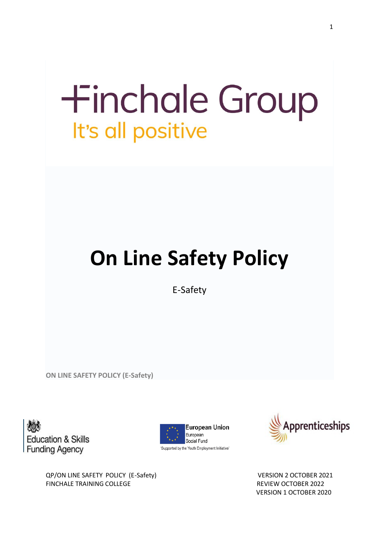# **+inchale Group** It's all positive

# **On Line Safety Policy**

E-Safety

**ON LINE SAFETY POLICY (E-Safety)**

**Education & Skills Funding Agency** 





VERSION 1 OCTOBER 2020

QP/ON LINE SAFETY POLICY (E-Safety) VERSION 2 OCTOBER 2021 FINCHALE TRAINING COLLEGE **REVIEW OCTOBER 2022**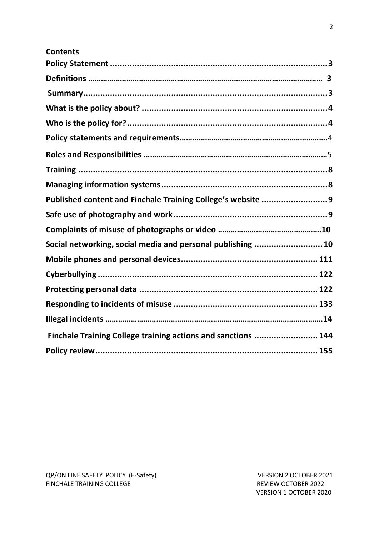| <b>Contents</b>                                               |  |
|---------------------------------------------------------------|--|
|                                                               |  |
|                                                               |  |
|                                                               |  |
|                                                               |  |
|                                                               |  |
|                                                               |  |
|                                                               |  |
|                                                               |  |
|                                                               |  |
| Published content and Finchale Training College's website 9   |  |
|                                                               |  |
|                                                               |  |
| Social networking, social media and personal publishing  10   |  |
|                                                               |  |
|                                                               |  |
|                                                               |  |
|                                                               |  |
|                                                               |  |
| Finchale Training College training actions and sanctions  144 |  |
|                                                               |  |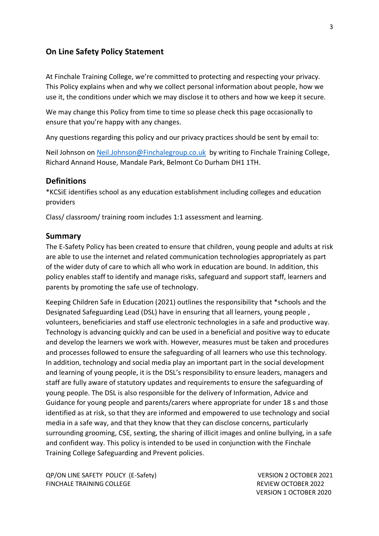#### <span id="page-2-0"></span>**On Line Safety Policy Statement**

At Finchale Training College, we're committed to protecting and respecting your privacy. This Policy explains when and why we collect personal information about people, how we use it, the conditions under which we may disclose it to others and how we keep it secure.

We may change this Policy from time to time so please check this page occasionally to ensure that you're happy with any changes.

Any questions regarding this policy and our privacy practices should be sent by email to:

Neil Johnson on [Neil.Johnson@Finchalegroup.co.uk](mailto:Neil.Johnson@Finchalegroup.co.uk) by writing to Finchale Training College, Richard Annand House, Mandale Park, Belmont Co Durham DH1 1TH.

#### <span id="page-2-1"></span>**Definitions**

\*KCSiE identifies school as any education establishment including colleges and education providers

Class/ classroom/ training room includes 1:1 assessment and learning.

#### **Summary**

The E-Safety Policy has been created to ensure that children, young people and adults at risk are able to use the internet and related communication technologies appropriately as part of the wider duty of care to which all who work in education are bound. In addition, this policy enables staff to identify and manage risks, safeguard and support staff, learners and parents by promoting the safe use of technology.

Keeping Children Safe in Education (2021) outlines the responsibility that \*schools and the Designated Safeguarding Lead (DSL) have in ensuring that all learners, young people , volunteers, beneficiaries and staff use electronic technologies in a safe and productive way. Technology is advancing quickly and can be used in a beneficial and positive way to educate and develop the learners we work with. However, measures must be taken and procedures and processes followed to ensure the safeguarding of all learners who use this technology. In addition, technology and social media play an important part in the social development and learning of young people, it is the DSL's responsibility to ensure leaders, managers and staff are fully aware of statutory updates and requirements to ensure the safeguarding of young people. The DSL is also responsible for the delivery of Information, Advice and Guidance for young people and parents/carers where appropriate for under 18 s and those identified as at risk, so that they are informed and empowered to use technology and social media in a safe way, and that they know that they can disclose concerns, particularly surrounding grooming, CSE, sexting, the sharing of illicit images and online bullying, in a safe and confident way. This policy is intended to be used in conjunction with the Finchale Training College Safeguarding and Prevent policies.

QP/ON LINE SAFETY POLICY (E-Safety) VERSION 2 OCTOBER 2021 FINCHALE TRAINING COLLEGE **REVIEW OCTOBER 2022**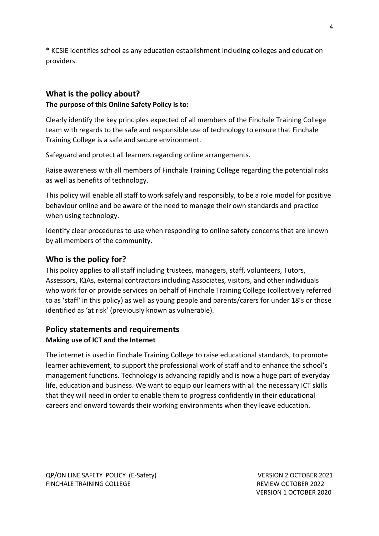\* KCSiE identifies school as any education establishment including colleges and education providers.

# <span id="page-3-0"></span>**What is the policy about?**

# **The purpose of this Online Safety Policy is to:**

Clearly identify the key principles expected of all members of the Finchale Training College team with regards to the safe and responsible use of technology to ensure that Finchale Training College is a safe and secure environment.

Safeguard and protect all learners regarding online arrangements.

Raise awareness with all members of Finchale Training College regarding the potential risks as well as benefits of technology.

This policy will enable all staff to work safely and responsibly, to be a role model for positive behaviour online and be aware of the need to manage their own standards and practice when using technology.

Identify clear procedures to use when responding to online safety concerns that are known by all members of the community.

# <span id="page-3-1"></span>**Who is the policy for?**

This policy applies to all staff including trustees, managers, staff, volunteers, Tutors, Assessors, IQAs, external contractors including Associates, visitors, and other individuals who work for or provide services on behalf of Finchale Training College (collectively referred to as 'staff' in this policy) as well as young people and parents/carers for under 18's or those identified as 'at risk' (previously known as vulnerable).

# <span id="page-3-2"></span>**Policy statements and requirements Making use of ICT and the Internet**

The internet is used in Finchale Training College to raise educational standards, to promote learner achievement, to support the professional work of staff and to enhance the school's management functions. Technology is advancing rapidly and is now a huge part of everyday life, education and business. We want to equip our learners with all the necessary ICT skills that they will need in order to enable them to progress confidently in their educational careers and onward towards their working environments when they leave education.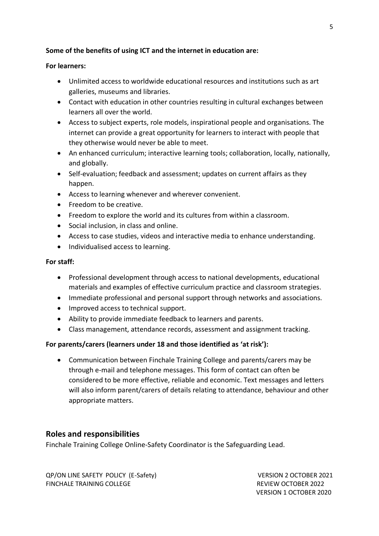#### **Some of the benefits of using ICT and the internet in education are:**

#### **For learners:**

- Unlimited access to worldwide educational resources and institutions such as art galleries, museums and libraries.
- Contact with education in other countries resulting in cultural exchanges between learners all over the world.
- Access to subject experts, role models, inspirational people and organisations. The internet can provide a great opportunity for learners to interact with people that they otherwise would never be able to meet.
- An enhanced curriculum; interactive learning tools; collaboration, locally, nationally, and globally.
- Self-evaluation; feedback and assessment; updates on current affairs as they happen.
- Access to learning whenever and wherever convenient.
- Freedom to be creative.
- Freedom to explore the world and its cultures from within a classroom.
- Social inclusion, in class and online.
- Access to case studies, videos and interactive media to enhance understanding.
- Individualised access to learning.

#### **For staff:**

- Professional development through access to national developments, educational materials and examples of effective curriculum practice and classroom strategies.
- Immediate professional and personal support through networks and associations.
- Improved access to technical support.
- Ability to provide immediate feedback to learners and parents.
- Class management, attendance records, assessment and assignment tracking.

#### **For parents/carers (learners under 18 and those identified as 'at risk'):**

• Communication between Finchale Training College and parents/carers may be through e-mail and telephone messages. This form of contact can often be considered to be more effective, reliable and economic. Text messages and letters will also inform parent/carers of details relating to attendance, behaviour and other appropriate matters.

# **Roles and responsibilities**

Finchale Training College Online-Safety Coordinator is the Safeguarding Lead.

QP/ON LINE SAFETY POLICY (E-Safety) VERSION 2 OCTOBER 2021 FINCHALE TRAINING COLLEGE **REVIEW OCTOBER 2022**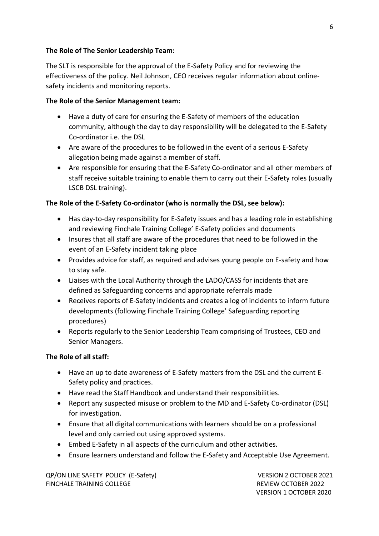#### **The Role of The Senior Leadership Team:**

The SLT is responsible for the approval of the E-Safety Policy and for reviewing the effectiveness of the policy. Neil Johnson, CEO receives regular information about onlinesafety incidents and monitoring reports.

#### **The Role of the Senior Management team:**

- Have a duty of care for ensuring the E-Safety of members of the education community, although the day to day responsibility will be delegated to the E-Safety Co-ordinator i.e. the DSL
- Are aware of the procedures to be followed in the event of a serious E-Safety allegation being made against a member of staff.
- Are responsible for ensuring that the E-Safety Co-ordinator and all other members of staff receive suitable training to enable them to carry out their E-Safety roles (usually LSCB DSL training).

#### **The Role of the E-Safety Co-ordinator (who is normally the DSL, see below):**

- Has day-to-day responsibility for E-Safety issues and has a leading role in establishing and reviewing Finchale Training College' E-Safety policies and documents
- Insures that all staff are aware of the procedures that need to be followed in the event of an E-Safety incident taking place
- Provides advice for staff, as required and advises young people on E-safety and how to stay safe.
- Liaises with the Local Authority through the LADO/CASS for incidents that are defined as Safeguarding concerns and appropriate referrals made
- Receives reports of E-Safety incidents and creates a log of incidents to inform future developments (following Finchale Training College' Safeguarding reporting procedures)
- Reports regularly to the Senior Leadership Team comprising of Trustees, CEO and Senior Managers.

#### **The Role of all staff:**

- Have an up to date awareness of E-Safety matters from the DSL and the current E-Safety policy and practices.
- Have read the Staff Handbook and understand their responsibilities.
- Report any suspected misuse or problem to the MD and E-Safety Co-ordinator (DSL) for investigation.
- Ensure that all digital communications with learners should be on a professional level and only carried out using approved systems.
- Embed E-Safety in all aspects of the curriculum and other activities.
- Ensure learners understand and follow the E-Safety and Acceptable Use Agreement.

QP/ON LINE SAFETY POLICY (E-Safety) VERSION 2 OCTOBER 2021 FINCHALE TRAINING COLLEGE **REVIEW OCTOBER 2022**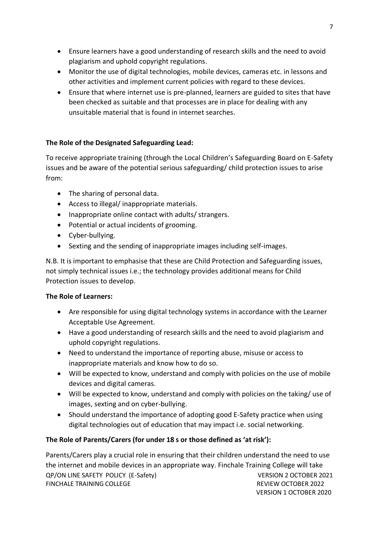- Ensure learners have a good understanding of research skills and the need to avoid plagiarism and uphold copyright regulations.
- Monitor the use of digital technologies, mobile devices, cameras etc. in lessons and other activities and implement current policies with regard to these devices.
- Ensure that where internet use is pre-planned, learners are guided to sites that have been checked as suitable and that processes are in place for dealing with any unsuitable material that is found in internet searches.

#### **The Role of the Designated Safeguarding Lead:**

To receive appropriate training (through the Local Children's Safeguarding Board on E-Safety issues and be aware of the potential serious safeguarding/ child protection issues to arise from:

- The sharing of personal data.
- Access to illegal/ inappropriate materials.
- Inappropriate online contact with adults/ strangers.
- Potential or actual incidents of grooming.
- Cyber-bullying.
- Sexting and the sending of inappropriate images including self-images.

N.B. It is important to emphasise that these are Child Protection and Safeguarding issues, not simply technical issues i.e.; the technology provides additional means for Child Protection issues to develop.

#### **The Role of Learners:**

- Are responsible for using digital technology systems in accordance with the Learner Acceptable Use Agreement.
- Have a good understanding of research skills and the need to avoid plagiarism and uphold copyright regulations.
- Need to understand the importance of reporting abuse, misuse or access to inappropriate materials and know how to do so.
- Will be expected to know, understand and comply with policies on the use of mobile devices and digital cameras.
- Will be expected to know, understand and comply with policies on the taking/ use of images, sexting and on cyber-bullying.
- Should understand the importance of adopting good E-Safety practice when using digital technologies out of education that may impact i.e. social networking.

#### **The Role of Parents/Carers (for under 18 s or those defined as 'at risk'):**

QP/ON LINE SAFETY POLICY (E-Safety) VERSION 2 OCTOBER 2021 FINCHALE TRAINING COLLEGE **REVIEW OCTOBER 2022**  VERSION 1 OCTOBER 2020 Parents/Carers play a crucial role in ensuring that their children understand the need to use the internet and mobile devices in an appropriate way. Finchale Training College will take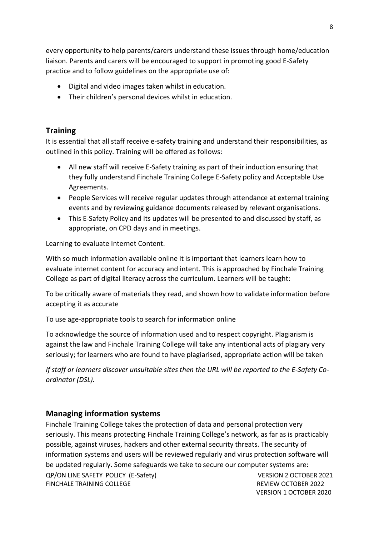every opportunity to help parents/carers understand these issues through home/education liaison. Parents and carers will be encouraged to support in promoting good E-Safety practice and to follow guidelines on the appropriate use of:

- Digital and video images taken whilst in education.
- Their children's personal devices whilst in education.

# <span id="page-7-0"></span>**Training**

It is essential that all staff receive e-safety training and understand their responsibilities, as outlined in this policy. Training will be offered as follows:

- All new staff will receive E-Safety training as part of their induction ensuring that they fully understand Finchale Training College E-Safety policy and Acceptable Use Agreements.
- People Services will receive regular updates through attendance at external training events and by reviewing guidance documents released by relevant organisations.
- This E-Safety Policy and its updates will be presented to and discussed by staff, as appropriate, on CPD days and in meetings.

Learning to evaluate Internet Content.

With so much information available online it is important that learners learn how to evaluate internet content for accuracy and intent. This is approached by Finchale Training College as part of digital literacy across the curriculum. Learners will be taught:

To be critically aware of materials they read, and shown how to validate information before accepting it as accurate

To use age-appropriate tools to search for information online

To acknowledge the source of information used and to respect copyright. Plagiarism is against the law and Finchale Training College will take any intentional acts of plagiary very seriously; for learners who are found to have plagiarised, appropriate action will be taken

*If staff or learners discover unsuitable sites then the URL will be reported to the E-Safety Coordinator (DSL).* 

# <span id="page-7-1"></span>**Managing information systems**

QP/ON LINE SAFETY POLICY (E-Safety) VERSION 2 OCTOBER 2021 Finchale Training College takes the protection of data and personal protection very seriously. This means protecting Finchale Training College's network, as far as is practicably possible, against viruses, hackers and other external security threats. The security of information systems and users will be reviewed regularly and virus protection software will be updated regularly. Some safeguards we take to secure our computer systems are:

FINCHALE TRAINING COLLEGE **REVIEW OCTOBER 2022**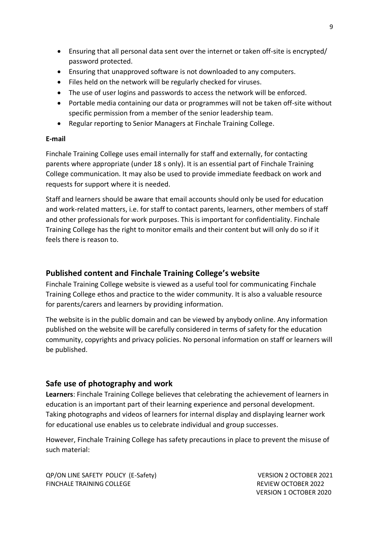- Ensuring that all personal data sent over the internet or taken off-site is encrypted/ password protected.
- Ensuring that unapproved software is not downloaded to any computers.
- Files held on the network will be regularly checked for viruses.
- The use of user logins and passwords to access the network will be enforced.
- Portable media containing our data or programmes will not be taken off-site without specific permission from a member of the senior leadership team.
- Regular reporting to Senior Managers at Finchale Training College.

#### **E-mail**

Finchale Training College uses email internally for staff and externally, for contacting parents where appropriate (under 18 s only). It is an essential part of Finchale Training College communication. It may also be used to provide immediate feedback on work and requests for support where it is needed.

Staff and learners should be aware that email accounts should only be used for education and work-related matters, i.e. for staff to contact parents, learners, other members of staff and other professionals for work purposes. This is important for confidentiality. Finchale Training College has the right to monitor emails and their content but will only do so if it feels there is reason to.

# <span id="page-8-0"></span>**Published content and Finchale Training College's website**

Finchale Training College website is viewed as a useful tool for communicating Finchale Training College ethos and practice to the wider community. It is also a valuable resource for parents/carers and learners by providing information.

The website is in the public domain and can be viewed by anybody online. Any information published on the website will be carefully considered in terms of safety for the education community, copyrights and privacy policies. No personal information on staff or learners will be published.

# <span id="page-8-1"></span>**Safe use of photography and work**

**Learners**: Finchale Training College believes that celebrating the achievement of learners in education is an important part of their learning experience and personal development. Taking photographs and videos of learners for internal display and displaying learner work for educational use enables us to celebrate individual and group successes.

However, Finchale Training College has safety precautions in place to prevent the misuse of such material:

QP/ON LINE SAFETY POLICY (E-Safety) VERSION 2 OCTOBER 2021 FINCHALE TRAINING COLLEGE **REVIEW OCTOBER 2022**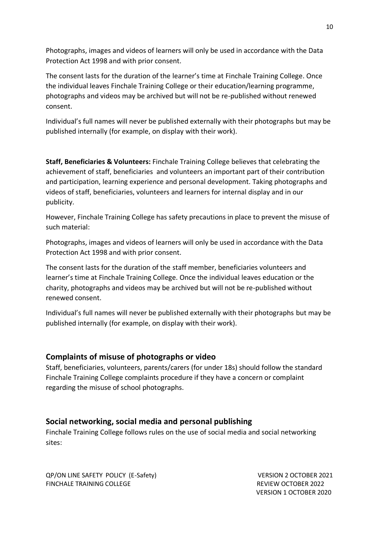Photographs, images and videos of learners will only be used in accordance with the Data Protection Act 1998 and with prior consent.

The consent lasts for the duration of the learner's time at Finchale Training College. Once the individual leaves Finchale Training College or their education/learning programme, photographs and videos may be archived but will not be re-published without renewed consent.

Individual's full names will never be published externally with their photographs but may be published internally (for example, on display with their work).

**Staff, Beneficiaries & Volunteers:** Finchale Training College believes that celebrating the achievement of staff, beneficiaries and volunteers an important part of their contribution and participation, learning experience and personal development. Taking photographs and videos of staff, beneficiaries, volunteers and learners for internal display and in our publicity.

However, Finchale Training College has safety precautions in place to prevent the misuse of such material:

Photographs, images and videos of learners will only be used in accordance with the Data Protection Act 1998 and with prior consent.

The consent lasts for the duration of the staff member, beneficiaries volunteers and learner's time at Finchale Training College. Once the individual leaves education or the charity, photographs and videos may be archived but will not be re-published without renewed consent.

Individual's full names will never be published externally with their photographs but may be published internally (for example, on display with their work).

# **Complaints of misuse of photographs or video**

Staff, beneficiaries, volunteers, parents/carers (for under 18s) should follow the standard Finchale Training College complaints procedure if they have a concern or complaint regarding the misuse of school photographs.

# <span id="page-9-0"></span>**Social networking, social media and personal publishing**

Finchale Training College follows rules on the use of social media and social networking sites:

QP/ON LINE SAFETY POLICY (E-Safety) VERSION 2 OCTOBER 2021 FINCHALE TRAINING COLLEGE **REVIEW OCTOBER 2022**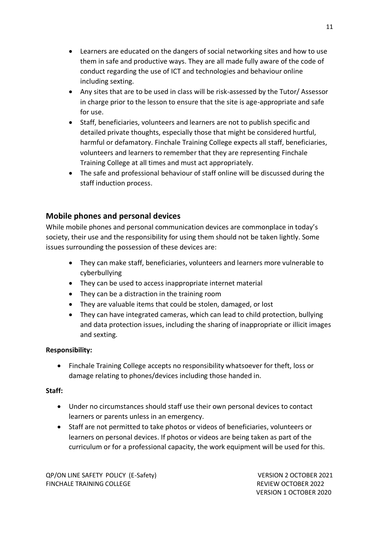- Learners are educated on the dangers of social networking sites and how to use them in safe and productive ways. They are all made fully aware of the code of conduct regarding the use of ICT and technologies and behaviour online including sexting.
- Any sites that are to be used in class will be risk-assessed by the Tutor/ Assessor in charge prior to the lesson to ensure that the site is age-appropriate and safe for use.
- Staff, beneficiaries, volunteers and learners are not to publish specific and detailed private thoughts, especially those that might be considered hurtful, harmful or defamatory. Finchale Training College expects all staff, beneficiaries, volunteers and learners to remember that they are representing Finchale Training College at all times and must act appropriately.
- The safe and professional behaviour of staff online will be discussed during the staff induction process.

# <span id="page-10-0"></span>**Mobile phones and personal devices**

While mobile phones and personal communication devices are commonplace in today's society, their use and the responsibility for using them should not be taken lightly. Some issues surrounding the possession of these devices are:

- They can make staff, beneficiaries, volunteers and learners more vulnerable to cyberbullying
- They can be used to access inappropriate internet material
- They can be a distraction in the training room
- They are valuable items that could be stolen, damaged, or lost
- They can have integrated cameras, which can lead to child protection, bullying and data protection issues, including the sharing of inappropriate or illicit images and sexting.

# **Responsibility:**

• Finchale Training College accepts no responsibility whatsoever for theft, loss or damage relating to phones/devices including those handed in.

#### **Staff:**

- Under no circumstances should staff use their own personal devices to contact learners or parents unless in an emergency.
- Staff are not permitted to take photos or videos of beneficiaries, volunteers or learners on personal devices. If photos or videos are being taken as part of the curriculum or for a professional capacity, the work equipment will be used for this.

QP/ON LINE SAFETY POLICY (E-Safety) VERSION 2 OCTOBER 2021 FINCHALE TRAINING COLLEGE **REVIEW OCTOBER 2022**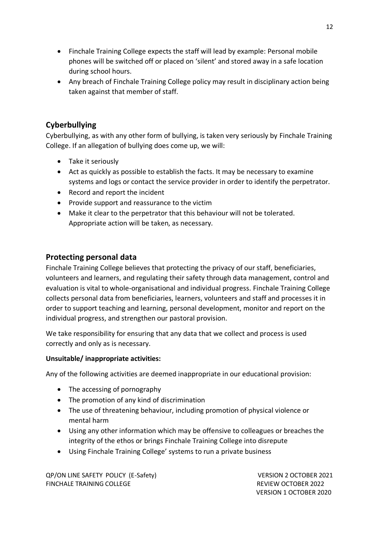- Finchale Training College expects the staff will lead by example: Personal mobile phones will be switched off or placed on 'silent' and stored away in a safe location during school hours.
- Any breach of Finchale Training College policy may result in disciplinary action being taken against that member of staff.

# <span id="page-11-0"></span>**Cyberbullying**

Cyberbullying, as with any other form of bullying, is taken very seriously by Finchale Training College. If an allegation of bullying does come up, we will:

- Take it seriously
- Act as quickly as possible to establish the facts. It may be necessary to examine systems and logs or contact the service provider in order to identify the perpetrator.
- Record and report the incident
- Provide support and reassurance to the victim
- Make it clear to the perpetrator that this behaviour will not be tolerated. Appropriate action will be taken, as necessary.

# <span id="page-11-1"></span>**Protecting personal data**

Finchale Training College believes that protecting the privacy of our staff, beneficiaries, volunteers and learners, and regulating their safety through data management, control and evaluation is vital to whole-organisational and individual progress. Finchale Training College collects personal data from beneficiaries, learners, volunteers and staff and processes it in order to support teaching and learning, personal development, monitor and report on the individual progress, and strengthen our pastoral provision.

We take responsibility for ensuring that any data that we collect and process is used correctly and only as is necessary.

# **Unsuitable/ inappropriate activities:**

Any of the following activities are deemed inappropriate in our educational provision:

- The accessing of pornography
- The promotion of any kind of discrimination
- The use of threatening behaviour, including promotion of physical violence or mental harm
- Using any other information which may be offensive to colleagues or breaches the integrity of the ethos or brings Finchale Training College into disrepute
- Using Finchale Training College' systems to run a private business

QP/ON LINE SAFETY POLICY (E-Safety) VERSION 2 OCTOBER 2021 FINCHALE TRAINING COLLEGE **REVIEW OCTOBER 2022**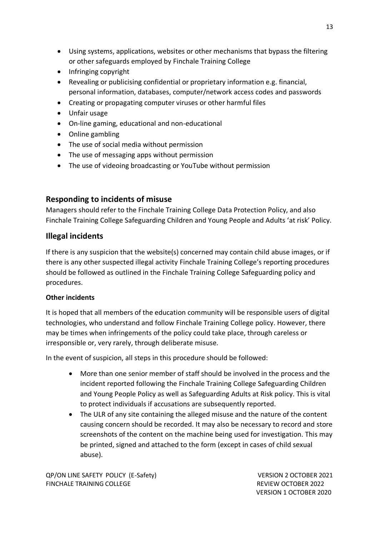- Using systems, applications, websites or other mechanisms that bypass the filtering or other safeguards employed by Finchale Training College
- Infringing copyright
- Revealing or publicising confidential or proprietary information e.g. financial, personal information, databases, computer/network access codes and passwords
- Creating or propagating computer viruses or other harmful files
- Unfair usage
- On-line gaming, educational and non-educational
- Online gambling
- The use of social media without permission
- The use of messaging apps without permission
- The use of videoing broadcasting or YouTube without permission

# <span id="page-12-0"></span>**Responding to incidents of misuse**

Managers should refer to the Finchale Training College Data Protection Policy, and also Finchale Training College Safeguarding Children and Young People and Adults 'at risk' Policy.

# **Illegal incidents**

If there is any suspicion that the website(s) concerned may contain child abuse images, or if there is any other suspected illegal activity Finchale Training College's reporting procedures should be followed as outlined in the Finchale Training College Safeguarding policy and procedures.

#### **Other incidents**

It is hoped that all members of the education community will be responsible users of digital technologies, who understand and follow Finchale Training College policy. However, there may be times when infringements of the policy could take place, through careless or irresponsible or, very rarely, through deliberate misuse.

In the event of suspicion, all steps in this procedure should be followed:

- More than one senior member of staff should be involved in the process and the incident reported following the Finchale Training College Safeguarding Children and Young People Policy as well as Safeguarding Adults at Risk policy. This is vital to protect individuals if accusations are subsequently reported.
- The ULR of any site containing the alleged misuse and the nature of the content causing concern should be recorded. It may also be necessary to record and store screenshots of the content on the machine being used for investigation. This may be printed, signed and attached to the form (except in cases of child sexual abuse).

QP/ON LINE SAFETY POLICY (E-Safety) VERSION 2 OCTOBER 2021 FINCHALE TRAINING COLLEGE **REVIEW OCTOBER 2022**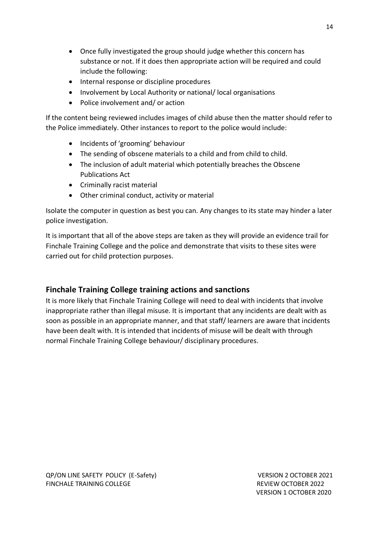- Once fully investigated the group should judge whether this concern has substance or not. If it does then appropriate action will be required and could include the following:
- Internal response or discipline procedures
- Involvement by Local Authority or national/ local organisations
- Police involvement and/ or action

If the content being reviewed includes images of child abuse then the matter should refer to the Police immediately. Other instances to report to the police would include:

- Incidents of 'grooming' behaviour
- The sending of obscene materials to a child and from child to child.
- The inclusion of adult material which potentially breaches the Obscene Publications Act
- Criminally racist material
- Other criminal conduct, activity or material

Isolate the computer in question as best you can. Any changes to its state may hinder a later police investigation.

It is important that all of the above steps are taken as they will provide an evidence trail for Finchale Training College and the police and demonstrate that visits to these sites were carried out for child protection purposes.

# <span id="page-13-0"></span>**Finchale Training College training actions and sanctions**

It is more likely that Finchale Training College will need to deal with incidents that involve inappropriate rather than illegal misuse. It is important that any incidents are dealt with as soon as possible in an appropriate manner, and that staff/ learners are aware that incidents have been dealt with. It is intended that incidents of misuse will be dealt with through normal Finchale Training College behaviour/ disciplinary procedures.